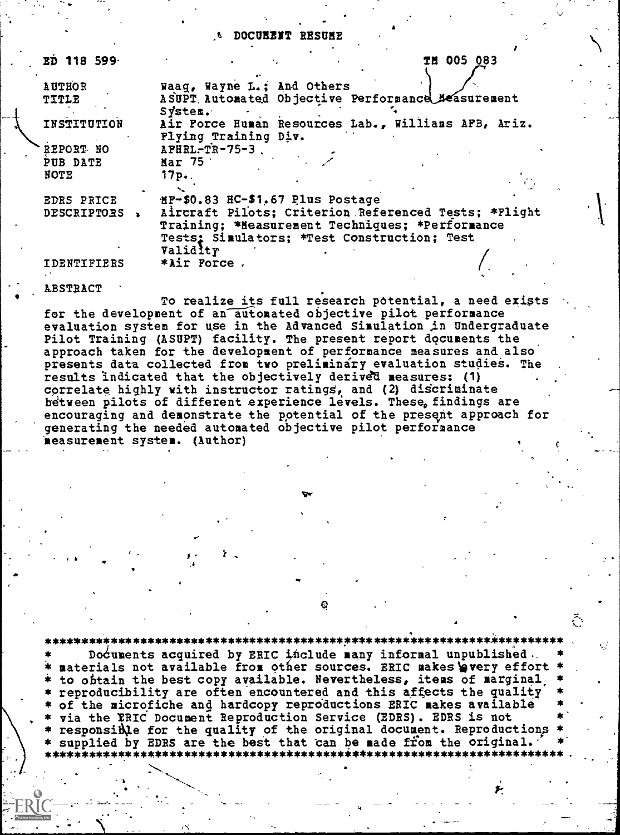# **& DOCURENT RESUME**

| <b>ED 118 599</b>                    | <b>TH 005 083</b>                                                                                                                                      |
|--------------------------------------|--------------------------------------------------------------------------------------------------------------------------------------------------------|
| <b>AUTHOR</b>                        | Waaq, Wayne L.; And Others                                                                                                                             |
| <b>TITLE</b>                         | ASUPT Automated Objective Performance Measurement<br>$S\vec{v}$ ster.                                                                                  |
| INSTITUTION                          | Air Force Human Resources Lab., Williams AFB, Ariz.<br>Flying Training Div.                                                                            |
| REPORT NO<br>PUB DATE<br><b>NOTE</b> | APHRL-TR-75-3<br>Mar 75<br>$17p-.$                                                                                                                     |
| EDRS PRICE                           | HP-\$0.83 HC-\$1.67 Plus Postage                                                                                                                       |
| <b>DESCRIPTORS</b>                   | Aircraft Pilots; Criterion Referenced Tests; *Plight<br>Training; *Measurement Techniques; *Performance<br>Tests: Simulators; *Test Construction; Test |
| IDENTIFIERS                          | Validlty<br>*Air Force.                                                                                                                                |

**ABSTRACT** 

To realize its full research potential, a need exists for the development of an automated objective pilot performance evaluation system for use in the Advanced Simulation in Undergraduate Pilot Training (ASUPT) facility. The present report documents the approach taken for the development of performance measures and also presents data collected from two preliminary evaluation studies. The results indicated that the objectively derived measures: (1) correlate highly with instructor ratings, and (2) discriminate between pilots of different experience levels. These, findings are encouraging and demonstrate the potential of the present approach for generating the needed automated objective pilot performance measurement system. (Author)

Documents acquired by ERIC include many informal unpublished. materials not available from other sources. ERIC makes wery effort \* to obtain the best copy available. Nevertheless, items of marginal reproducibility are often encountered and this affects the quality of the microfiche and hardcopy reproductions ERIC makes available via the FRIC Document Reproduction Service (EDRS). EDRS is not

responsible for the quality of the original document. Reproductions supplied by EDRS are the best that can be made from the original.

\*\*\*\*\*\*\*\*\*\*\*\*\*\*\*\*\*\*\*\*\*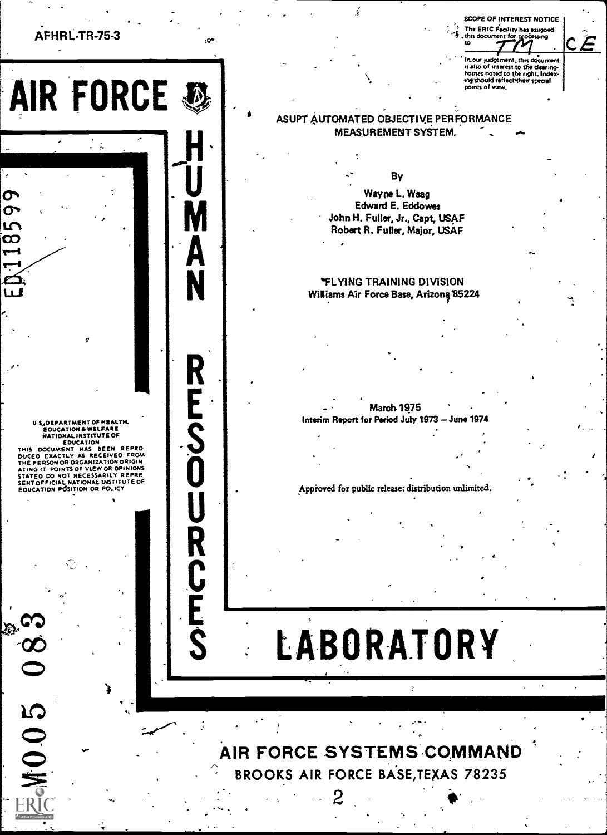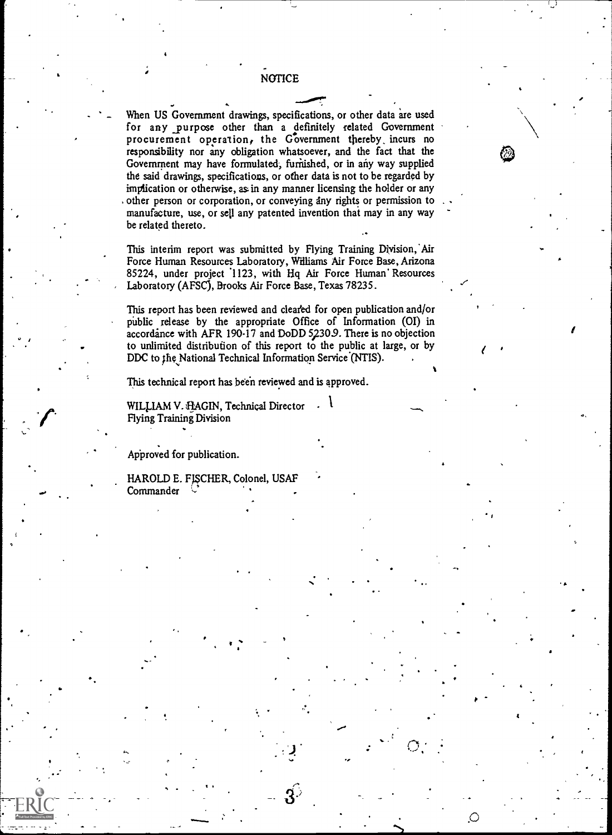NOTICE

()

When US Government drawings, specifications, or other data are used for any \_purpose other than a definitely related Government procurement operation, the Government thereby, incurs no responsibility nor any obligation whatsoever, and the fact that the Government may have formulated, furnished, or in any way supplied the said drawings, specifications, or other data is not to be regarded by implication or otherwise, as in any manner licensing the holder or any other person or corporation, or conveying any rights or permission to manufacture, use, or sell any patented invention that may in any way be related thereto.

This interim report was submitted by Flying Training Division, Air Force Human Resources Laboratory, Williams Air Force Base, Arizona 85224, under project '1123, with Hq Air Force Human' Resources Laboratory (AFSC), Brooks Air Force Base, Texas 78235.

This report has been reviewed and cleated for open publication and/or public release by the appropriate Office of Information (01) in accordance with AFR 190-17 and DoDD 5230.9. There is no objection to unlimited distribution of this report to the public at large, or by DDC to the National Technical Information Service (NTIS).

This technical report has been reviewed and is approved.

WILLIAM V. FLAGIN, Technical Director  $\cdot$ Flying Training Division

Approved for publication.

 $\mathbf{r}$ 

**State State** 

HAROLD E. FISCHER, Colonel, USAF **Commander**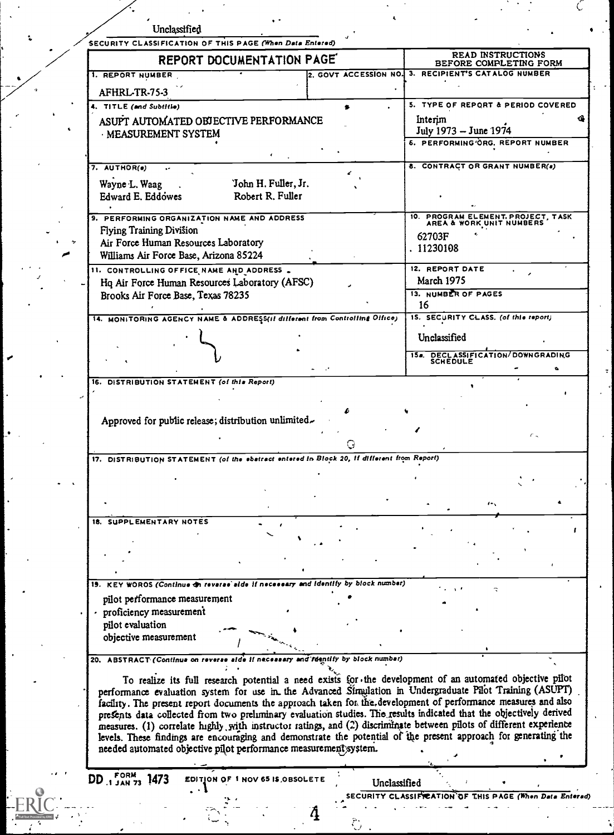|                                                                                                                                                                                                                       | SECURITY CLASSIFICATION OF THIS PAGE (When Data Entered) |                                                                  |
|-----------------------------------------------------------------------------------------------------------------------------------------------------------------------------------------------------------------------|----------------------------------------------------------|------------------------------------------------------------------|
| REPORT DOCUMENTATION PAGE                                                                                                                                                                                             |                                                          | <b>READ INSTRUCTIONS</b><br>BEFORE COMPLETING FORM               |
| 1. REPORT NUMBER                                                                                                                                                                                                      | 2. GOVT ACCESSION NO.                                    | 3. RECIPIENT'S CATALOG NUMBER                                    |
| AFHRL-TR-75-3                                                                                                                                                                                                         |                                                          |                                                                  |
| 4. TITLE (and Subtitle)                                                                                                                                                                                               |                                                          | 5. TYPE OF REPORT & PERIOD COVERED                               |
| ASUPT AUTOMATED OBJECTIVE PERFORMANCE                                                                                                                                                                                 |                                                          | Interim                                                          |
| MEASUREMENT SYSTEM                                                                                                                                                                                                    |                                                          | July 1973 - June 1974<br><b>6. PERFORMING ORG. REPORT NUMBER</b> |
|                                                                                                                                                                                                                       |                                                          |                                                                  |
| $7.$ AUTHOR(e)                                                                                                                                                                                                        |                                                          | 8. CONTRACT OR GRANT NUMBER(a)                                   |
| 'John H. Fuller, Jr.<br>Wayne L. Waag                                                                                                                                                                                 |                                                          |                                                                  |
| Edward E. Eddowes<br>Robert R. Fuller                                                                                                                                                                                 |                                                          |                                                                  |
|                                                                                                                                                                                                                       |                                                          |                                                                  |
| 9. PERFORMING ORGANIZATION NAME AND ADDRESS<br>Flying Training Division                                                                                                                                               |                                                          | 10. PROGRAM ELEMENT. PROJECT, TASK<br>AREA & WORK UNIT NUMBERS   |
| Air Force Human Resources Laboratory                                                                                                                                                                                  |                                                          | 62703F                                                           |
| Williams Air Force Base, Arizona 85224                                                                                                                                                                                |                                                          | . 11230108                                                       |
| 11. CONTROLLING OFFICE NAME AND ADDRESS.                                                                                                                                                                              |                                                          | 12. REPORT DATE                                                  |
| Hq Air Force Human Resources Laboratory (AFSC)                                                                                                                                                                        |                                                          | <b>March 1975</b>                                                |
| Brooks Air Force Base, Texas 78235                                                                                                                                                                                    |                                                          | 13. NUMBER OF PAGES<br>16                                        |
| 14. MONITORING AGENCY NAME & ADDRESS(if different from Controlling Office)                                                                                                                                            |                                                          | 15. SECURITY CLASS. (of this report)                             |
|                                                                                                                                                                                                                       |                                                          |                                                                  |
|                                                                                                                                                                                                                       |                                                          | Unclassified                                                     |
|                                                                                                                                                                                                                       |                                                          | 154. DECLASSIFICATION/DOWNGRADING<br>SCHEDULE                    |
| 16. DISTRIBUTION STATEMENT (of this Report)                                                                                                                                                                           |                                                          |                                                                  |
|                                                                                                                                                                                                                       |                                                          |                                                                  |
|                                                                                                                                                                                                                       |                                                          |                                                                  |
| Approved for public release; distribution unlimited.                                                                                                                                                                  |                                                          |                                                                  |
|                                                                                                                                                                                                                       |                                                          |                                                                  |
|                                                                                                                                                                                                                       |                                                          |                                                                  |
| 17. DISTRIBUTION STATEMENT (of the ebstract entered in Block 20, if different from Report)                                                                                                                            |                                                          |                                                                  |
|                                                                                                                                                                                                                       |                                                          |                                                                  |
|                                                                                                                                                                                                                       |                                                          |                                                                  |
|                                                                                                                                                                                                                       |                                                          | $\cdots$                                                         |
|                                                                                                                                                                                                                       |                                                          |                                                                  |
|                                                                                                                                                                                                                       |                                                          |                                                                  |
|                                                                                                                                                                                                                       |                                                          |                                                                  |
|                                                                                                                                                                                                                       |                                                          |                                                                  |
| 19. KEY WOROS (Continue on reverse side if necessary and identify by block number)                                                                                                                                    |                                                          |                                                                  |
| pilot performance measurement                                                                                                                                                                                         |                                                          |                                                                  |
| · proficiency measurement                                                                                                                                                                                             |                                                          |                                                                  |
| pilot evaluation                                                                                                                                                                                                      |                                                          |                                                                  |
| objective measurement                                                                                                                                                                                                 |                                                          |                                                                  |
|                                                                                                                                                                                                                       |                                                          |                                                                  |
| 20. ABSTRACT (Continue on reverse<br>$_{H}$ need                                                                                                                                                                      | and reentily by block number)                            |                                                                  |
|                                                                                                                                                                                                                       |                                                          |                                                                  |
|                                                                                                                                                                                                                       |                                                          |                                                                  |
| To realize its full research potential a need exists for the development of an automated objective pilot<br>performance evaluation system for use in the Advanced Sfraulation in Undergraduate Pilot Training (ASUPT) |                                                          |                                                                  |
| facility. The present report documents the approach taken for the development of performance measures and also                                                                                                        |                                                          |                                                                  |
| presents data collected from two preliminary evaluation studies. The results indicated that the objectively derived                                                                                                   |                                                          |                                                                  |
| measures. (1) correlate highly with instructor ratings, and (2) discriminate between pilots of different experience                                                                                                   |                                                          |                                                                  |
| levels. These findings are encouraging and demonstrate the potential of the present approach for generating the                                                                                                       |                                                          |                                                                  |
| needed automated objective pilot performance measurement system.                                                                                                                                                      |                                                          |                                                                  |
| EDITION OF 1 NOV 65 IS OBSOLETE                                                                                                                                                                                       |                                                          |                                                                  |
| <b>1 JAN 73</b>                                                                                                                                                                                                       | Unclassified<br>URITY CLASSIFIE                          |                                                                  |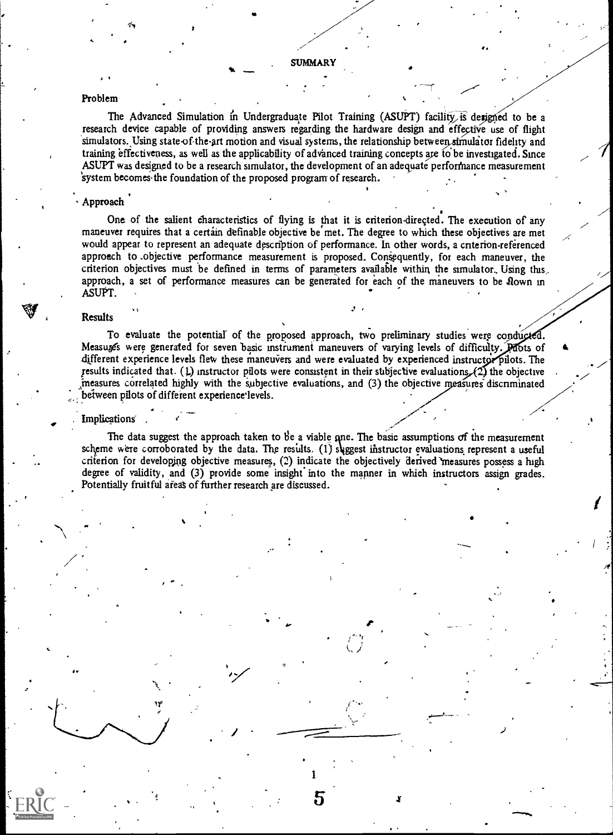4.

ep.

#### Problem

The Advanced Simulation in Undergraduate Pilot Training (ASUPT) facility, is designed to be a research device capable of providing answers regarding the hardware design and effective use of flight simulators. Using state-of-the-art motion and visual systems, the relationship between simulator fidelity and training effectiveness, as well as the applicability of advanced training concepts are to be investigated. Since ASUPT was designed to be a research simulator, the development of an adequate performance measurement 'system becomes-the foundation of the proposed program of research.

## Approach

One of the salient characteristics of flying is that it is criterion-directed. The execution of any maneuver requires that a certain definable objective be met. The degree to which these objectives are met would appear to represent an adequate description of performance. In other words, a cnterion-referenced approach to .objective performance measurement is proposed. Consequently, for each maneuver, the criterion objectives must be defined in terms of parameters available within, the simulator., Using this,. approach, a set of performance measures can be generated for each of the maneuvers to be flown in ASUPT.

#### Results

To evaluate the potential of the proposed approach, two preliminary studies were conducted. Measuges were generated for seven basic instrument maneuvers of varying levels of difficulty. Phots of different experience levels flew these maneuvers and were evaluated by experienced instructor pilots. The results indicated that. (1) instructor pilots were consistent in their subjective evaluations,  $(2)$  the objective measures correlated highly with the subjective evaluations, and (3) the objective measures discriminated between pilots of different experience levels.

#### **Implications**

/ '

for the state of the state of the state of the state of the state of the state of the state of the state of th<br>The state of the state of the state of the state of the state of the state of the state of the state of the st

The data suggest the approach taken to be a viable one. The basic assumptions of the measurement scheme were corroborated by the data. The results. (1) suggest instructor evaluations represent a useful criterion for developing objective measures, (2) indicate the objectively derived 'measures possess a high degree of validity, and (3) provide some insight into the manner in which instructors assign grades. Potentially fruitful areas of further research are discussed.

1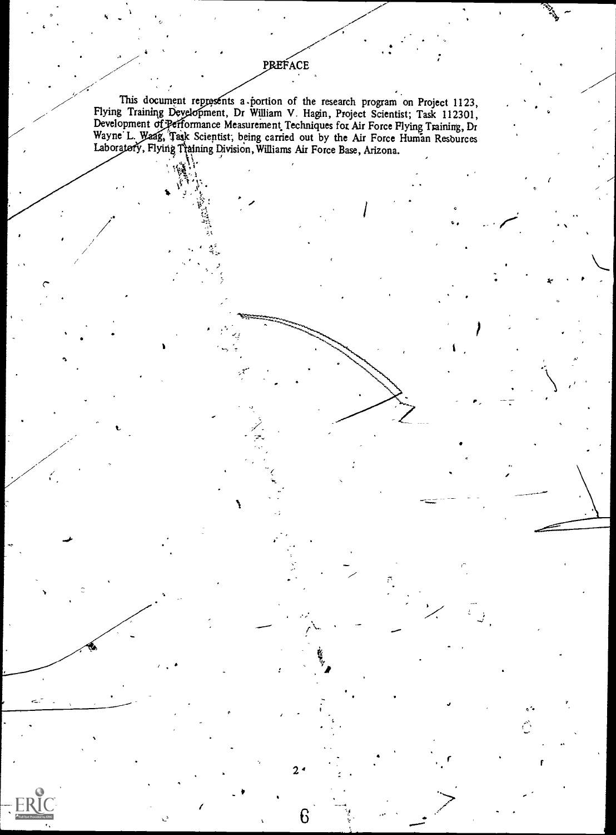This document represents a portion of the research program on Project 1123, Flying Training Development, Dr William V. Hagin, Project Scientist; Task 112301, Development of Performance Measurement Techniques for Air Force Flying Training, Dr Wayne L. Waag, Task Scientist; being carried out by the Air Force Human Resources Laboratofy, Flying Tiaining Division, Williams Air Force Base, Arizona.

1

 $2<sub>1</sub>$ 

6

V

PREFACE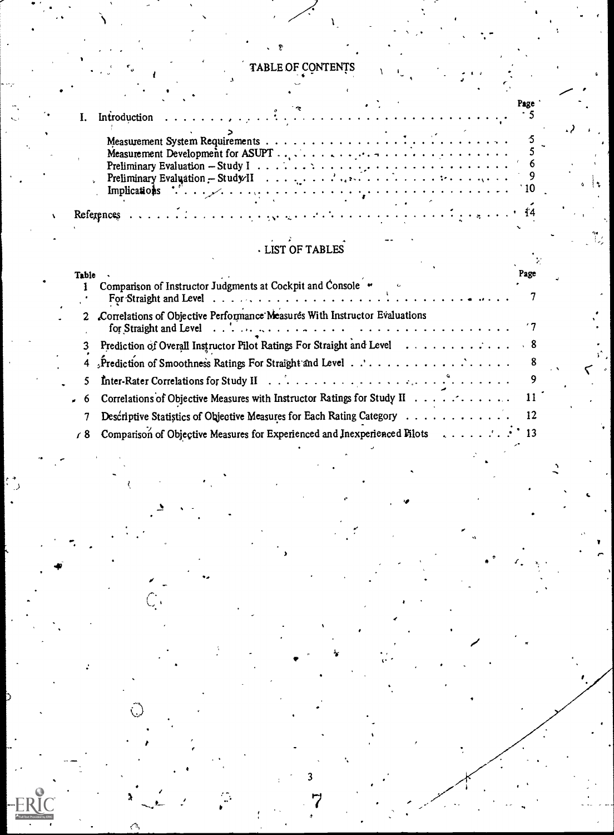# TABLE OF CONTENTS

Ÿ

# LIST OF TABLES

| <b>Fable</b>   |                                                                                         | Page |
|----------------|-----------------------------------------------------------------------------------------|------|
|                | Comparison of Instructor Judgments at Cockpit and Console "                             |      |
| $\mathbf{2}^-$ | Correlations of Objective Performance Measures With Instructor Evaluations              |      |
|                | Prediction of Overall Instructor Pilot Ratings For Straight and Level 8                 |      |
|                |                                                                                         |      |
| 5.             |                                                                                         |      |
| 6.             | Correlations of Objective Measures with Instructor Ratings for Study II 11              |      |
|                | Descriptive Statistics of Objective Measures for Each Rating Category 12                |      |
|                | $\sqrt{8}$ Comparison of Objective Measures for Experienced and Inexperienced Filots 13 |      |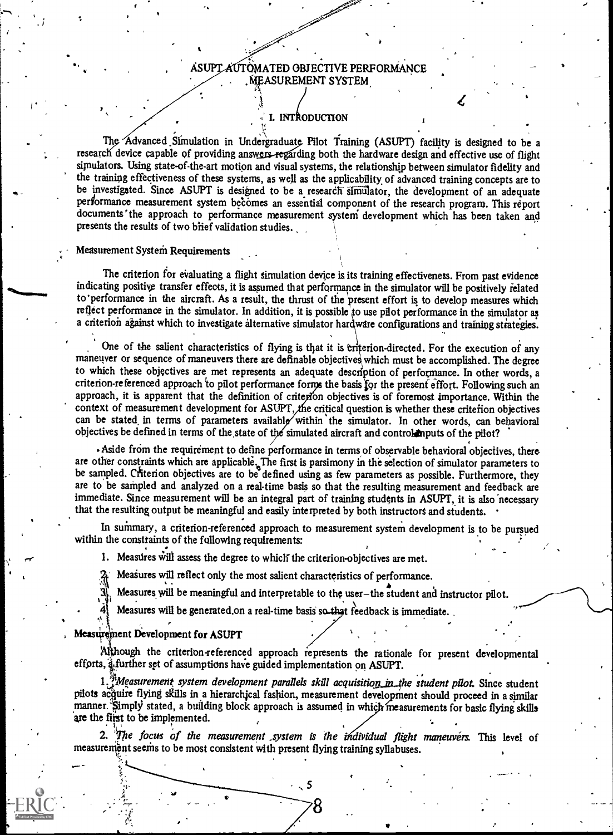#### ASUPT AUTOMATED OBJECTIVE PERFORMANCE MEASUREMENT SYSTEM

### L INTRODUCTION

f

research device capable of providing answers regarding both the hardware design and effective use of flight The Advanced Simulation in Undergraduate Pilot Training (ASUPT) facility is designed to be a simulators. Using state-of-the-art motion and visual systems, the relationship between simulator fidelity and the training effectiveness of these systems, as well as the applicability of advanced training concepts are to be investigated. Since ASUPT is designed to be a research simulator, the development of an adequate performance measurement system becomes an essential component of the research program. This report documents 'the approach to performance measurement systeni development which has been taken and presents the results of two brief validation studies.

#### Measurement System Requirements

The criterion for evaluating a flight simulation device is its training effectiveness. From past evidence indicating positive transfer effects, it is assumed that performance in the simulator will be positively related to 'performance in the aircraft. As a result, the thrust of the present effort is to develop measures which reflect performance in the simulator. In addition, it is possible'to use pilot performance in the simulator as a criterion against which to investigate alternative simulator hardware configurations and training strategies.

One of the salient characteristics of flying is that it is eriterion-directed. For the execution of any maneuver or sequence of maneuvers there are definable objectives which must be accomplished. The degree to which these objectives are met represents an adequate description of performance. In other words, a criterion-referenced approach to pilot performance forms the basis for the present effort. Following such an approach, it is apparent that the definition of criterion objectives is of foremost importance. Within the context of measurement development for ASUPT, the critical question is whether these criterion objectives can be stated in terms of parameters available within the simulator. In other words, can behavioral objectives be defined in terms of the state of the simulated aircraft and control inputs of the pilot?

. Aside from the requirement to define performance in terms of observable behavioral objectives, there are other constraints which are applicable. The first is parsimony in the selection of simulator parameters to be sampled. Criterion objectives are to be defined using as few parameters as possible. Furthermore, they are to be sampled and analyzed on a real-time basis so that the resulting measurement and feedback are immediate. Since measurement will be an integral part of training students in ASUPT, it is also 'necessary that the resulting output be meaningful and easily interpreted by both instructors and students.

In summary, a criterion-referenced approach to measurement system development is to be pursued within the constraints of the following requirements:

1. Measures Will assess the degree to which' the criterion-objectives are met.

Measures will reflect only the most salient characteristics of performance.

Measures will be meaningful and interpretable to the user-the student and instructor pilot.

Measures will be generated.on a real-time basis so that feedback is immediate.

#### Measurement Development for ASUPT

i

Although the criterion-referenced approach represents the rationale for present developmental efforts, a further set of assumptions have guided implementation on ASUPT.

1. "Measurement system development parallels skill acquisition in the student pilot. Since student pilots acquire flying skills in a hierarchical fashion, measurement development should proceed in a similar manner. Simply stated, a building block approach is assumed in which measurements for basic flying skills are the flist to be implemented.

2. The focus of the measurement system is the individual flight maneuvers. This level of measurement seams to be most consistent with present flying training syllabuses.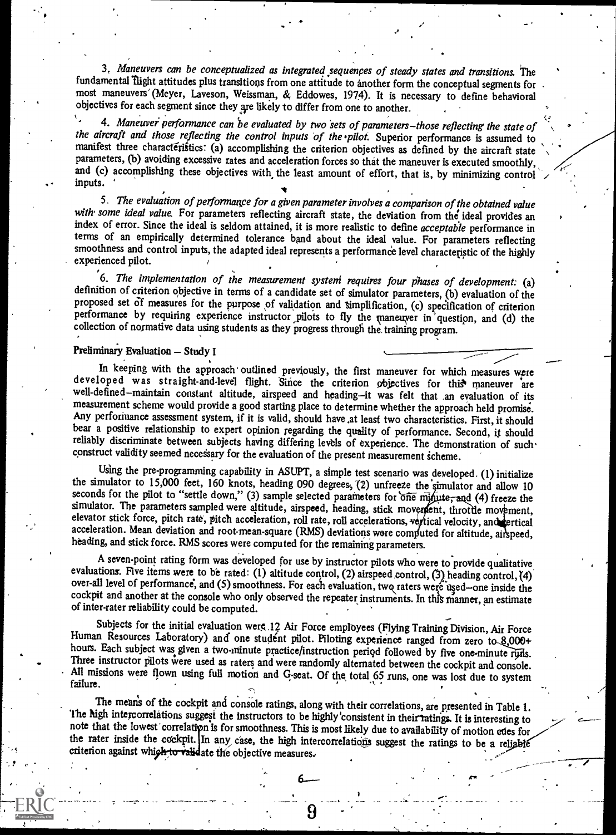3. Maneuvers can be conceptualized as integrated sequences of steady states and transitions. The fundamental Tlight attitudes plus transitions from one attitude to another form the conceptual segments for most maneuvers (Meyer, Laveson, Weissman, & Eddowes, 1974). It is necessary to define behavioral objectives for each segment since they are likely to differ from one to another.

<sup>4</sup> 4. Maneuver performance can be evaluated by two sets of parameters-those reflecting the state of the aircraft and those reflecting the control inputs of the pilot. Superior performance is assumed to manifest three characteristics: (a) accomplishing the criterion objectives as defined by the aircraft state parameters, (b) avoiding excessive rates and acceleration forces so that the maneuver is executed smoothly, and (c) accomplishing these objectives with the least amount of effort, that is, by minimizing control inputs.

5. The evaluation of performance for a given parameter involves a comparison of the obtained value with some ideal value. For parameters reflecting aircraft state, the deviation from the ideal provides an index of error. Since the ideal is seldom attained, it is more realistic to define acceptable performance in terms of an empirically determined tolerance band about the ideal value. For parameters reflecting smoothness and control inputs, the adapted ideal represents a performance level characteristic of the highly experienced pilot.

6. The implementation of the measurement system requires four phases of development: (a) definition of criterion objective in terms of a candidate set of simulator parameters, (b) evaluation of the proposed set of measure collection of normative data using students as they progress through the training program.

#### Preliminary Evaluation - Study I

In keeping with the approach outlined previously, the first maneuver for which measures were developed was straight-and-level flight. Since the criterion objectives for this maneuver are well-defined--maintain constant altitude, airspeed and heading-it was felt that an evaluation of its measurement scheme would provide a good starting place to determine whether the approach held promise. Any performance assessment system, if it is valid, should have at least two characteristics. First, it should bear a positive relationship to expert opinion regarding the quality of performance. Second, it should reliably discriminate between subjects having differing levels of experience. The demonstration of such construct validity seemed necessary for the evaluation of the present measurement scheme.

Using the pre-programming capability in ASUPT, a simple test scenario was developed. (1) initialize the simulator to 15,000 feet, 160 knots, heading 090 degrees, (2) unfreeze the simulator and allow 10 seconds for the pilot to "settle down," (3) sample selected parameters for one minute, and (4) freeze the simulator. The parameters sampled were altitude, airspeed, heading, stick movement, throttle movement, elevator stick force, pitch rate, pitch acceleration, roll rate, roll accelerations, vertical velocity, and ertical acceleration. Mean deviation and root-mean-square (RMS) deviations were computed for altitude, air speed, heading, and stick force. RMS scores were computed for the remaining parameters.<br>A seven-point rating form was devel

evaluations. Five items were to be rated: (1) altitude control, (2) airspeed control, (3) heading control, (4) over-all level of performance, and (5) smoothness. For each evaluation, two raters were used—one inside the cockpit and another at the console who only observed the repeater instruments. In this manner, an estimate of inter-rater reliability could be computed.

Subjects for the initial evaluation were 12 Air Force employees (Flying Training Division, Air Force Human Resources Laboratory) and one student pilot. Piloting experience ranged from zero to 8,000+ hours. Each subject was Three instructor pilots were used as raters and were randomly alternated between the cockpit and console.<br>All missions were flown using full motion and G-seat. Of the total 65 runs, one was lost due to system failure.

The means of the cockpit and console ratings, along with their correlations, are presented in Table 1.<br>The high intercorrelations suggest the instructors to be highly consistent in their ratings. It is interesting to<br>note the rater inside the cockpit. In any case, the high intercorrelations suggest the ratings to be a reliable criterion against which to validate the objective measures.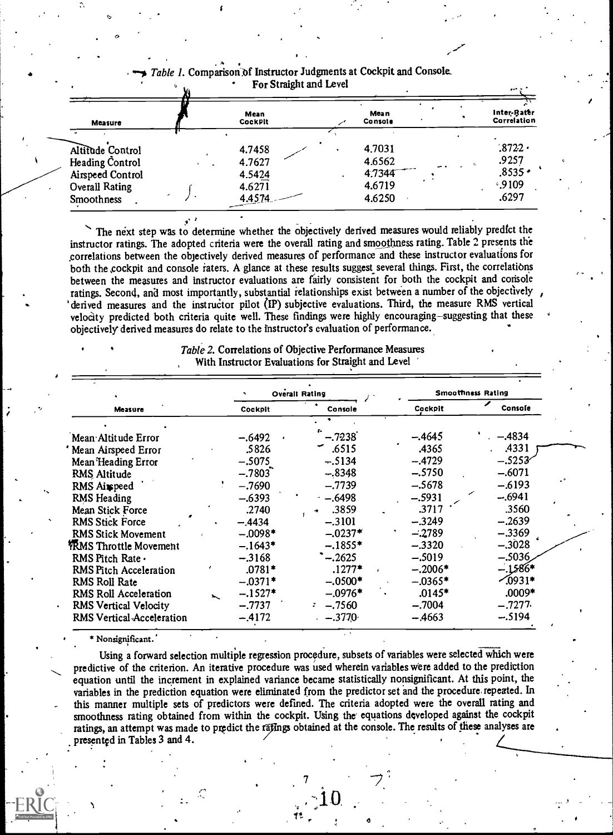| Measure                                                                                        | Mean<br>CockPit                                | Mean<br>Cansale                                | Inter-Rater<br>Correlation                     |  |
|------------------------------------------------------------------------------------------------|------------------------------------------------|------------------------------------------------|------------------------------------------------|--|
| Altitude Control<br>Heading Control<br>Airspeed Control<br><b>Overall Rating</b><br>Smoothness | 4.7458<br>4.7627<br>4.5424<br>4.6271<br>4.4574 | 4.7031<br>4.6562<br>4.7344<br>4.6719<br>4.6250 | .8722<br>.9257<br>$.8535 -$<br>0.9109<br>.6297 |  |

#### Table 1. Comparison of Instructor Judgments at Cockpit and Console. For Straight and Level

The next step was to determine whether the objectively derived measures would reliably predict the instructor ratings. The adopted criteria were the overall rating and smoothness rating. Table 2 presents the .correlations between the objectively derived measures of performance and these instructor evaluations for both the cockpit and console raters. A glance at these results suggest several things. First, the correlations between the measures and instructor evaluations are fairly consistent for both the cockpit and console ratings. Second, and most importantly, substantial relationships exist between a number of the objectively derived measures and the instructor pilot (IP) subjective evaluations. Third, the measure RMS vertical velocity predicted both criteria quite well. These findings were highly encouraging-suggesting that these objectively derived measures do relate to the Instructor's evaluation of performance.

> Table 2. Correlations of Objective Performance Measures With Instructor Evaluations for Straight and Level

|                           |           |           | Overall Rating |           | <b>Smoothness Rating</b> |
|---------------------------|-----------|-----------|----------------|-----------|--------------------------|
| Measure                   |           | Cockpit   | Console        | Cockpit   | Console                  |
|                           |           |           |                |           |                          |
| Mean Altitude Error       |           | $-.6492$  | $-.7238$       | $-.4645$  | $-.4834$                 |
| Mean Airspeed Error       |           | .5826     | .6515          | .4365     | .4331                    |
| Mean Heading Error        |           | $-.5075$  | $-.5134$       | $-.4729$  | $-.5253$                 |
| RMS Altitude              |           | $-.7803$  | $-.8348$       | $-.5750$  | $-.6071$                 |
| RMS Airpeed               |           | $-.7690$  | $-.7739$       | $-.5678$  | $-.6193$                 |
| <b>RMS</b> Heading        |           | $-.6393$  | $-6498$        | $-.5931$  | $-.6941$                 |
| Mean Stick Force          |           | .2740     | .3859          | .3717     | .3560                    |
| <b>RMS Stick Force</b>    |           | $-.4434$  | $-.3101$       | $-.3249$  | $-.2639$                 |
| <b>RMS Stick Movement</b> |           | $-.0098*$ | $-.0237*$      | $-.2789$  | $-.3369$                 |
| YRMS Throttle Movement    |           | $-.1643*$ | $-.1855*$      | $-.3320$  | $-.3028$                 |
| RMS Pitch Rate .          |           | $-.3168$  | $-0.2625$      | $-.5019$  | $-.5036$                 |
| RMS Pitch Acceleration    |           | $.0781*$  | $.1277*$       | $-.2006*$ | $-.1586*$                |
| RMS Roll Rate             |           | $-.0371*$ | $-.0500*$      | $-.0365*$ | $\sqrt{0931*}$           |
| RMS Roll Acceleration     | $\lambda$ | $-.1527*$ | $-.0976*$      | .0145*    | .0009*                   |
| RMS Vertical Velocity     |           | $-.7737$  | $-.7560$<br>¥. | $-.7004$  | $-.7277.$                |
| RMS Vertical Acceleration |           | $-.4172$  | $-0.3770$      | $-4663$   | $-.5194$                 |
|                           |           |           |                |           |                          |

\* Nonsignificant.'

Using a forward selection multiple regression procedure, subsets of variables were selected which were predictive of the criterion. An iterative procedure was used wherein variables were added to the prediction equation until the increment in explained variance became statistically nonsignificant. At this point, the variables in the prediction equation were eliminated from the predictor set and the procedure. repeated. In this manner multiple sets of predictors were defined. The criteria adopted were the overall rating and smoothness rating obtained from within the cockpit. Using the equations developed against the cockpit ratings, an attempt was made to predict the ratings obtained at the console. The results of these analyses are presented in Tables 3 and 4.

7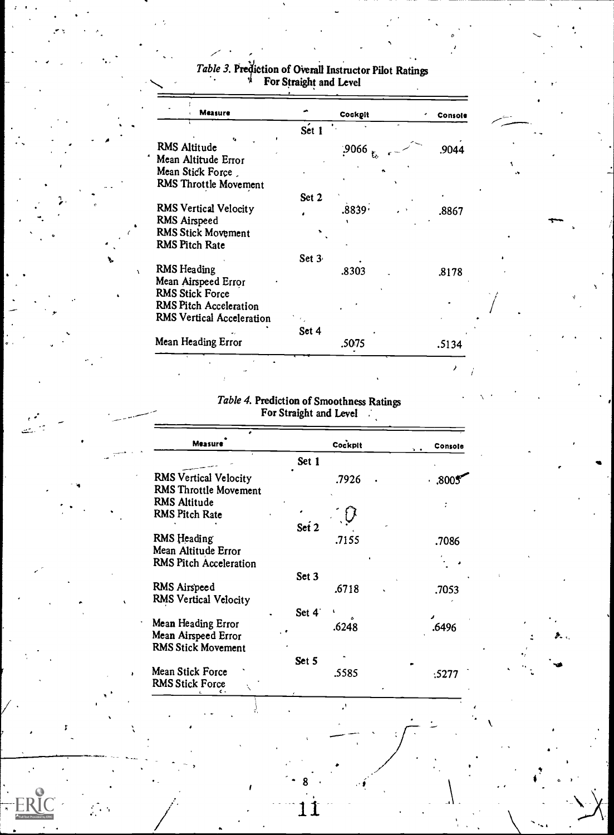| Measure                      |          | Cockpit | Console |
|------------------------------|----------|---------|---------|
|                              | Set 1    |         |         |
| RMS Altitude                 |          | .9066   | .9044   |
| Mean Altitude Error          |          |         |         |
| Mean Stick Force             |          |         |         |
| RMS Throttle Movement        |          |         |         |
|                              | Set 2    |         |         |
| <b>RMS Vertical Velocity</b> |          | .8839.  | .8867   |
| RMS Airspeed                 |          |         |         |
| <b>RMS Stick Movement</b>    |          |         |         |
| <b>RMS Pitch Rate</b>        |          |         |         |
|                              | Set $3c$ |         |         |
| <b>RMS</b> Heading           |          | .8303   | .8178   |
| Mean Airspeed Error          |          |         |         |
| RMS Stick Force              |          |         |         |
| RMS Pitch Acceleration       |          |         |         |
| RMS Vertical Acceleration    |          |         |         |
|                              | Set 4    |         |         |
| Mean Heading Error           |          | .5075   | .5134   |

.

# Table 3. Prediction of Overall Instructor Pilot Ratings For Straight and Level

---

#### Table 4. Prediction of Smoothness Ratings For Straight and Level

| Measure                                                                | Cockpit        | Console<br><b>b</b> + |
|------------------------------------------------------------------------|----------------|-----------------------|
|                                                                        | Set 1          |                       |
| <b>RMS Vertical Velocity</b><br><b>RMS Throttle Movement</b>           | .7926          | .300                  |
| RMS Altitude<br>RMS Pitch Rate                                         |                |                       |
| RMS Heading<br>Mean Altitude Error                                     | Set 2<br>.7155 | .7086                 |
| RMS Pitch Acceleration                                                 | Set 3          |                       |
| RMS Airspeed<br><b>RMS Vertical Velocity</b>                           | .6718          | .7053                 |
|                                                                        | Set 4          |                       |
| Mean Heading Error<br>Mean Airspeed Error<br><b>RMS Stick Movement</b> | .6248          | .6496                 |
|                                                                        | Set 5          |                       |
| Mean Stick Force<br><b>RMS Stick Force</b>                             | .5585          | :5277                 |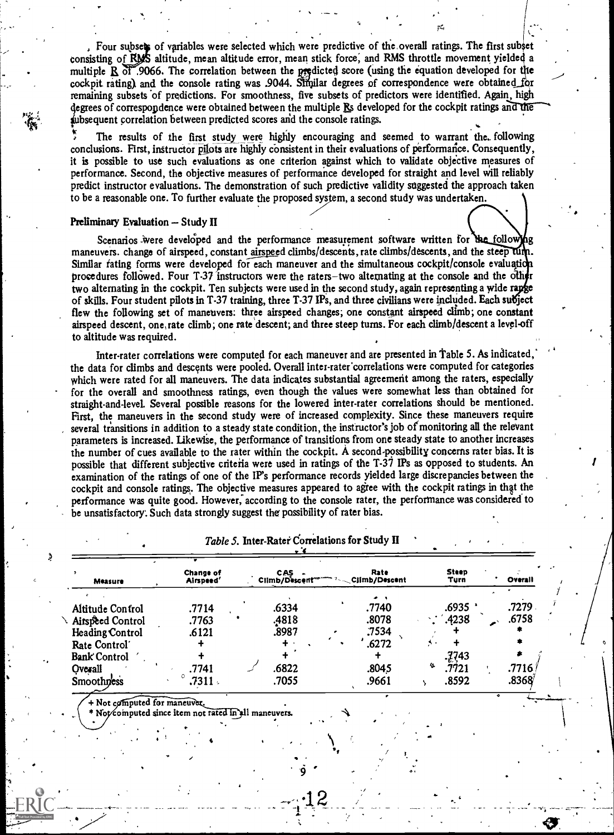. Four subsets of variables were selected which were predictive of the overall ratings. The first subset consisting of RMS altitude, mean altitude error, mean stick force, and RMS throttle movement yielded a multiple  $R$  of .9066. The correlation between the predicted score (using the equation developed for the cockpit rating) and the console rating was .9044. Similar degrees of correspondence were obtained for remaining subsets of predictions. For smoothness, five subsets of predictors were identified. Again, high  $\mathbf{r}$ , where  $\mathbf{r}$ degrees of correspondence were obtained between the multiple Rs developed for the cockpit ratings and the bsequent correlation between predicted scores arid the console ratings.

pr.,

The results of the first study were highly encouraging and seemed to warrant the. following conclusions. First, instructor pilots are highly consistent in their evaluations of performance. Consequently, it is possible to use such evaluations as one criterion against which to validate objective measures of performance. Second, the objective measures of performance developed for straight and level will reliably predict instructor evaluations. The demonstration of such predictive validity suggested the approach taken to be a reasonable one. To further evaluate the proposed syssem, a second study was undertaken.

### Preliminary Evaluation - Study II

Scenarios were developed and the performance measurement software written for the following maneuvers. change of airspeed, constant airspeed climbs/descents, rate climbs/descents, and the steep tum. Similar rating forms were developed for each maneuver and the simultaneous cockpit/console evaluation procedures followed. Four T-37 instructors were the raters-two alternating at the console and the other two alternating in the cockpit. Ten subjects were used in the second study, again representing a wide rappe of skills. Four student pilots in T-37 training, three T-37 IPs, and three civilians were included. Each subject flew the following set of maneuvers: three airspeed changes; one constant airspeed climb; one constant airspeed descent, one rate climb; one rate 'descent; and three steep turns. For each climb/descent a level-off to altitude was required.

Inter-rater correlations were computed for each maneuver and are presented in Table 5. As indicated, the data for climbs and descents were pooled. Overall inter-rater'correlations were computed for categories which were rated for all maneuvers. The data indicates substantial agreement among the raters, especially for the overall and smoothness ratings, even though the values were somewhat less than obtained for straight-and-level. Several possible reasons for the lowered inter-rater correlations should be mentioned. First, the maneuvers in the second study were of increased complexity. Since these maneuvers require several transitions in addition to a steady state condition, the instructor's job of monitoring all the relevant parameters is increased. Likewise, the performance of transitions from one steady state to another increases the number of cues available to the rater within the cockpit. A second-possibility concerns rater bias. It is possible that different subjective criteria were used in ratings of the T-37 IPs as opposed to students. An examination of the ratings of one of the IP's performance records yielded large discrepancies between the cockpit and console ratings. The objective measures appeared to agree with the cockpit ratings in that the performance was quite good. However, according to the console rater, the performance was considered to be unsatisfactory: Such data strongly suggest the possibility of rater bias.

| <b>Measure</b>      | <b>Change of</b><br>Airspeed' | <b>CAS</b><br>Climb/Descent | <b>Rate</b><br>$3 - $ Climb/Descent | <b>Steep</b><br>Turn | Overall |  |
|---------------------|-------------------------------|-----------------------------|-------------------------------------|----------------------|---------|--|
|                     |                               |                             |                                     |                      |         |  |
| Altitude Control    | .7714                         | .6334                       | .7740                               | .6935 .              | .7279   |  |
| Airspeed Control    | .7763                         | .4818                       | .8078                               | .4238                | .6758   |  |
| Heading Control     | .6121                         | .8987                       | .7534                               |                      |         |  |
| Rate Control        |                               |                             | .6272                               |                      |         |  |
| <b>Bank</b> Control |                               |                             |                                     | .7743                |         |  |
| Overall             | .7741                         | .6822                       | .8045                               | 弘<br>.7721           | .7716.  |  |
| Smoothness          | .7311.                        | .7055                       | .9661                               | .8592                | .8368⁄  |  |

Table 5. Inter-Rater Correlations for Study II

+ Not computed for maneuver.

Not computed since item not rated in all maneuvers.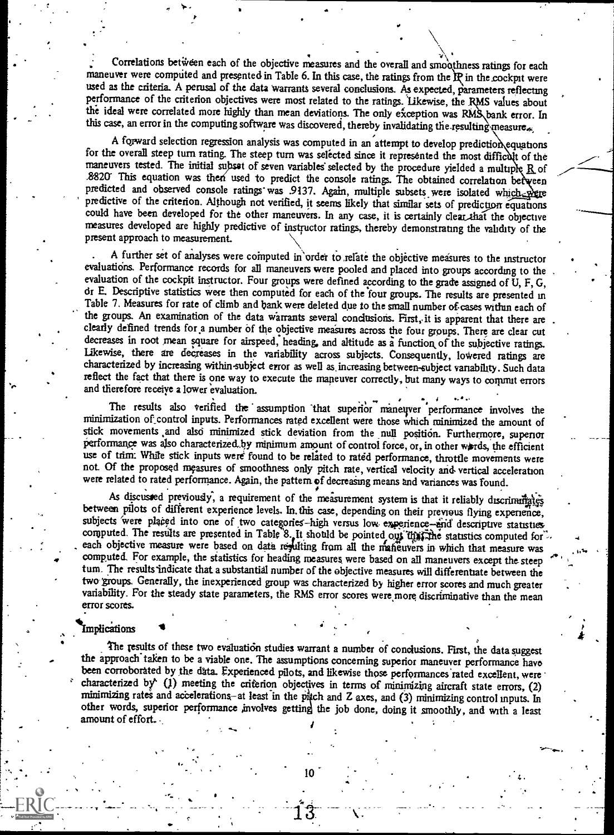correlations between each of the objective measures and the overall and smoothness ratings for each maneuver were computed and presented in Table 6. In this case, the ratings from the  $\mathbb{R}$  in the cockpit were used as the criteria. A perusal of the data warrants several conclusions. As expected, parameters reflecting performance of the criterion objectives were most related to the ratings. Likewise, the RMS values about the ideal were correlated more highly than mean deviations. The only exception was RMS bank error. In this case, an error in the computing software was discovered, thereby invalidating the resulting measure.

A forward selection regression analysis was computed in an attempt to develop prediction equations for the overall steep turn rating. The steep turn was selected since it represented the most difficult of the maneuvers tested. The initial subset of seven variables selected by the procedure yielded a multiple  $R$  of .8820 This equation was then used to predict the console ratings. The obtained correlation between predicted and observed console ratings was .9137. Again, multiple subsets were isolated which we predictive of the criterion. Although not verified, it seems likely that similar sets of prediction equations could have been measures developed are highly predictive of instructor ratings, thereby demonstrating the validity of the present approach to measurement.

A further set of analyses were computed in order to relate the objective measures to the instructor evaluations. Performance records for all maneuvers were pooled and placed into groups according to the evaluation of the cockpit instructor. Four groups were defined according to the grade assigned of U, F, G, or E. Descriptive statistics were then computed for each of the four groups. The results are presented in Table 7. Measures for rate of climb and bank were deleted due to the small number of cases within each of the groups. An examination of the data warrants several conclusions. First, it is apparent that there are clearly defined trends for a number of the objective measures across the four groups. There are clear cut decreases in root mean square for airspeed, heading, and altitude as a function of the subjective ratings.<br>Likewise, there are decreases in the variability across subjects. Consequently, lowered ratings are characterized by increasing within.subject error as well as, increasing between-subject variability. Such data reflect the fact that there is one way to execute the maneuver correctly, but many ways to commut errors and therefore receive a lower evaluation.

The results also verified the assumption that superior maneuver performance involves the minimization of\_control inputs. Performances rated excellent were those which minimized the amount of stick movements and also minimized stick deviation from the null position. Furthermore, superior experience example performance was also characterized by minimum amount of control force, or, in other wards, the efficient stick movements and also minimized stick deviation from the null position. Furthermore, superior use of trim: While stick inputs were found to be related to rated performance, throttle movements were not. Of the proposed measures of smoothness only pitch rate, vertical velocity and, vertical acceleration were related to rated performance. Again, the pattern of decreasing means and variances was found.

As discussed previously, a requirement of the measurement system is that it reliably discrimingly between pilots of different experience levels. In this case, depending on their previous flying experience, subjects were pl computed. For example, the statistics for heading measures were based on all maneuvers except the steep tum. The results indicate that a substantial number of the objective measures will differentiate between the two groups. Generally, the inexperienced group was characterized by higher error scores and much greater variability. For the steady state parameters, the RMS error scores were more discriminative than the mean error scores.

#### Implications

The results of these two evaluation studies warrant a number of condusions. First, the data suggest<br>the approach taken to be a viable one. The assumptions concerning superior maneuver performance have<br>been corroborated by minimizing rates and accelerations-at least in the pitch and Z axes, and (3) minimizing control inputs. In other words, superior performance involves getting the job done, doing it smoothly, and with a least amount of effort.

4

 $\epsilon$  , the contract of the contract of the contract of the contract of the contract of the contract of the contract of the contract of the contract of the contract of the contract of the contract of the contract of the co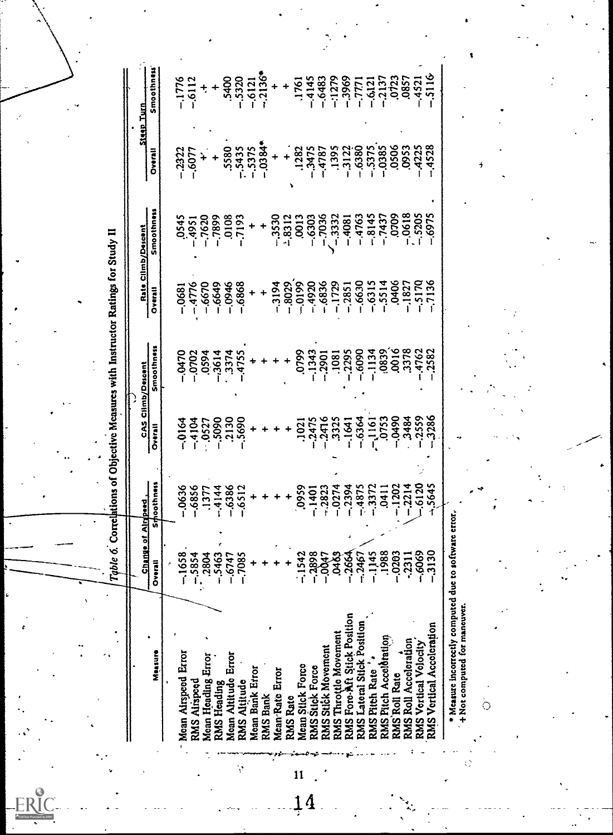| $-1279$<br>$-.6483$<br>$-4145$<br>$-6112$<br><b>Steep Turn</b><br>$-0.0384*$<br>.0506<br>$-4528$<br>$-5435$<br>$-0.385$<br>.0953<br>$-4225$<br>.5580<br>$-.5375$<br>$-6380$<br>$-3475$<br>.1395<br>$-3122$<br>$-.5375$<br>.1282<br>$-4787$<br>-.2322<br>$-0.6077$<br>Tarard<br>÷<br>ż<br>١<br><b>Smoothness</b><br>$-0618$<br>0709<br>$-.5205$<br>-.6975<br>$-.3530$<br>$-7036$<br>$-.3332$<br>$-4763$<br>$-8145$<br>$-7437$<br>$-8312$<br>.0013<br>0545<br>$-7620$<br>$-7899$<br>0108<br>$-7193$<br>$-.6303$<br>$-4081$<br>$156b -$<br>÷<br>Rate Climb/Descent<br>$-0199$<br>$-5514$<br>.0406<br>$-5170$<br>$-7136$<br>$-1729$<br>$-6630$<br>$-8029$<br>$-6836$<br>$-6315$<br>$-6868$<br>$-3194$<br>$-4920$<br>$-1827$<br>$-4776$<br>$-6670$<br>$-6649$<br>$-0.0946$<br>$-0.2851$<br>$-0681$<br>Overall<br>Smoothness<br>.0016<br>.3378<br>.6090<br>0839<br>4762<br>.2295<br>$-1134$<br>.2582<br>0799<br>$-.1343$<br>.3374<br>$0$ C<br>$+0.470$<br>$-0702$<br>0594<br>$-3614$<br>.1081<br>.4755<br>$-2901$<br><b>CAS Climb/Descent</b><br>.2559<br>3286<br>$0660 -$<br>3484<br>$-6364$<br>$-1161$<br>0753<br>.2130<br>$-5690$<br>$-2475$<br>$-2476$<br>.3325<br>$-.5090$<br>$-4104$<br>$-0164$<br>$-1641$<br>.0527<br>.1021<br>Overall<br><b>Sroothness</b><br>5645<br>$-6120$<br>$-2394$<br>$-4875$<br>$-3372$<br>.1202<br>$-2214$<br>$-6386$<br>$-6512$<br>0959<br>$-0.0274$<br>$-0636$<br>$-6856$<br>$-2823$<br>$-.4144$<br>$-1401$<br>0411<br>.1377<br>ge of Airpred.<br>* Measure incorrectly computed due to software error.<br>໑<br>0<br>$-1542$<br>$-2898$<br>$-1658$<br>$-.5854$<br>.2804<br>$-.5463$<br>$-004$<br>$\mathbf{g}$<br>$-266$<br>$-246$<br>$-114$<br>$-198$<br>$-.026.$<br>.,606<br>$-313$<br>$-674$<br>$-708.$<br>$-231$<br>Overall<br>+ Not computed for maneuver.<br>Fore-Aft Stick Position<br>RMS Lateral Stick Position<br>RMS Vertical Acceleration<br>RMS Throttle Movement<br>RMS Pitch Acceleration<br>RMS Roll Accoleration<br><b>RMS Vertical Volocity</b><br>RMS Stick Movement<br>Measure<br>Moan Airspeed Error<br>Moan Altitude Error<br>Mean Heading Error<br>Mean Stick Force<br>RMS Stick Force<br>Mean Bank Error<br>RMS Pitch Rate<br>Mean Rate Error<br>RMS Roll Rate<br>RMS Altitude<br>RMS Airspeed<br>RMS Heading<br>RMS Bank<br>RMS Rate<br>Ċ<br>RMS <sub>1</sub> | Table     |  | 6. Correlations of Objective Measures with Instructor Ratings for Study II |  |                      |
|-------------------------------------------------------------------------------------------------------------------------------------------------------------------------------------------------------------------------------------------------------------------------------------------------------------------------------------------------------------------------------------------------------------------------------------------------------------------------------------------------------------------------------------------------------------------------------------------------------------------------------------------------------------------------------------------------------------------------------------------------------------------------------------------------------------------------------------------------------------------------------------------------------------------------------------------------------------------------------------------------------------------------------------------------------------------------------------------------------------------------------------------------------------------------------------------------------------------------------------------------------------------------------------------------------------------------------------------------------------------------------------------------------------------------------------------------------------------------------------------------------------------------------------------------------------------------------------------------------------------------------------------------------------------------------------------------------------------------------------------------------------------------------------------------------------------------------------------------------------------------------------------------------------------------------------------------------------------------------------------------------------------------------------------------------------------------------------------------------------------------------------------------------------------------------------------------------------------------------------------------------------------------------------------------------------------|-----------|--|----------------------------------------------------------------------------|--|----------------------|
|                                                                                                                                                                                                                                                                                                                                                                                                                                                                                                                                                                                                                                                                                                                                                                                                                                                                                                                                                                                                                                                                                                                                                                                                                                                                                                                                                                                                                                                                                                                                                                                                                                                                                                                                                                                                                                                                                                                                                                                                                                                                                                                                                                                                                                                                                                                   | n<br>Shan |  |                                                                            |  | Smoothness           |
|                                                                                                                                                                                                                                                                                                                                                                                                                                                                                                                                                                                                                                                                                                                                                                                                                                                                                                                                                                                                                                                                                                                                                                                                                                                                                                                                                                                                                                                                                                                                                                                                                                                                                                                                                                                                                                                                                                                                                                                                                                                                                                                                                                                                                                                                                                                   |           |  |                                                                            |  |                      |
|                                                                                                                                                                                                                                                                                                                                                                                                                                                                                                                                                                                                                                                                                                                                                                                                                                                                                                                                                                                                                                                                                                                                                                                                                                                                                                                                                                                                                                                                                                                                                                                                                                                                                                                                                                                                                                                                                                                                                                                                                                                                                                                                                                                                                                                                                                                   |           |  |                                                                            |  | $-1776$              |
|                                                                                                                                                                                                                                                                                                                                                                                                                                                                                                                                                                                                                                                                                                                                                                                                                                                                                                                                                                                                                                                                                                                                                                                                                                                                                                                                                                                                                                                                                                                                                                                                                                                                                                                                                                                                                                                                                                                                                                                                                                                                                                                                                                                                                                                                                                                   |           |  |                                                                            |  |                      |
|                                                                                                                                                                                                                                                                                                                                                                                                                                                                                                                                                                                                                                                                                                                                                                                                                                                                                                                                                                                                                                                                                                                                                                                                                                                                                                                                                                                                                                                                                                                                                                                                                                                                                                                                                                                                                                                                                                                                                                                                                                                                                                                                                                                                                                                                                                                   |           |  |                                                                            |  |                      |
|                                                                                                                                                                                                                                                                                                                                                                                                                                                                                                                                                                                                                                                                                                                                                                                                                                                                                                                                                                                                                                                                                                                                                                                                                                                                                                                                                                                                                                                                                                                                                                                                                                                                                                                                                                                                                                                                                                                                                                                                                                                                                                                                                                                                                                                                                                                   |           |  |                                                                            |  | .5400                |
|                                                                                                                                                                                                                                                                                                                                                                                                                                                                                                                                                                                                                                                                                                                                                                                                                                                                                                                                                                                                                                                                                                                                                                                                                                                                                                                                                                                                                                                                                                                                                                                                                                                                                                                                                                                                                                                                                                                                                                                                                                                                                                                                                                                                                                                                                                                   |           |  |                                                                            |  | $-.5320$             |
|                                                                                                                                                                                                                                                                                                                                                                                                                                                                                                                                                                                                                                                                                                                                                                                                                                                                                                                                                                                                                                                                                                                                                                                                                                                                                                                                                                                                                                                                                                                                                                                                                                                                                                                                                                                                                                                                                                                                                                                                                                                                                                                                                                                                                                                                                                                   |           |  |                                                                            |  | $-.6121$             |
|                                                                                                                                                                                                                                                                                                                                                                                                                                                                                                                                                                                                                                                                                                                                                                                                                                                                                                                                                                                                                                                                                                                                                                                                                                                                                                                                                                                                                                                                                                                                                                                                                                                                                                                                                                                                                                                                                                                                                                                                                                                                                                                                                                                                                                                                                                                   |           |  |                                                                            |  | $-2136$ <sup>*</sup> |
|                                                                                                                                                                                                                                                                                                                                                                                                                                                                                                                                                                                                                                                                                                                                                                                                                                                                                                                                                                                                                                                                                                                                                                                                                                                                                                                                                                                                                                                                                                                                                                                                                                                                                                                                                                                                                                                                                                                                                                                                                                                                                                                                                                                                                                                                                                                   |           |  |                                                                            |  |                      |
|                                                                                                                                                                                                                                                                                                                                                                                                                                                                                                                                                                                                                                                                                                                                                                                                                                                                                                                                                                                                                                                                                                                                                                                                                                                                                                                                                                                                                                                                                                                                                                                                                                                                                                                                                                                                                                                                                                                                                                                                                                                                                                                                                                                                                                                                                                                   |           |  |                                                                            |  |                      |
|                                                                                                                                                                                                                                                                                                                                                                                                                                                                                                                                                                                                                                                                                                                                                                                                                                                                                                                                                                                                                                                                                                                                                                                                                                                                                                                                                                                                                                                                                                                                                                                                                                                                                                                                                                                                                                                                                                                                                                                                                                                                                                                                                                                                                                                                                                                   |           |  |                                                                            |  | .1761                |
|                                                                                                                                                                                                                                                                                                                                                                                                                                                                                                                                                                                                                                                                                                                                                                                                                                                                                                                                                                                                                                                                                                                                                                                                                                                                                                                                                                                                                                                                                                                                                                                                                                                                                                                                                                                                                                                                                                                                                                                                                                                                                                                                                                                                                                                                                                                   |           |  |                                                                            |  |                      |
|                                                                                                                                                                                                                                                                                                                                                                                                                                                                                                                                                                                                                                                                                                                                                                                                                                                                                                                                                                                                                                                                                                                                                                                                                                                                                                                                                                                                                                                                                                                                                                                                                                                                                                                                                                                                                                                                                                                                                                                                                                                                                                                                                                                                                                                                                                                   |           |  |                                                                            |  |                      |
|                                                                                                                                                                                                                                                                                                                                                                                                                                                                                                                                                                                                                                                                                                                                                                                                                                                                                                                                                                                                                                                                                                                                                                                                                                                                                                                                                                                                                                                                                                                                                                                                                                                                                                                                                                                                                                                                                                                                                                                                                                                                                                                                                                                                                                                                                                                   |           |  |                                                                            |  | $-3969$              |
|                                                                                                                                                                                                                                                                                                                                                                                                                                                                                                                                                                                                                                                                                                                                                                                                                                                                                                                                                                                                                                                                                                                                                                                                                                                                                                                                                                                                                                                                                                                                                                                                                                                                                                                                                                                                                                                                                                                                                                                                                                                                                                                                                                                                                                                                                                                   |           |  |                                                                            |  | $-7771$              |
|                                                                                                                                                                                                                                                                                                                                                                                                                                                                                                                                                                                                                                                                                                                                                                                                                                                                                                                                                                                                                                                                                                                                                                                                                                                                                                                                                                                                                                                                                                                                                                                                                                                                                                                                                                                                                                                                                                                                                                                                                                                                                                                                                                                                                                                                                                                   |           |  |                                                                            |  | $-.6121$             |
|                                                                                                                                                                                                                                                                                                                                                                                                                                                                                                                                                                                                                                                                                                                                                                                                                                                                                                                                                                                                                                                                                                                                                                                                                                                                                                                                                                                                                                                                                                                                                                                                                                                                                                                                                                                                                                                                                                                                                                                                                                                                                                                                                                                                                                                                                                                   |           |  |                                                                            |  | $-2137$              |
|                                                                                                                                                                                                                                                                                                                                                                                                                                                                                                                                                                                                                                                                                                                                                                                                                                                                                                                                                                                                                                                                                                                                                                                                                                                                                                                                                                                                                                                                                                                                                                                                                                                                                                                                                                                                                                                                                                                                                                                                                                                                                                                                                                                                                                                                                                                   |           |  |                                                                            |  | .0723                |
|                                                                                                                                                                                                                                                                                                                                                                                                                                                                                                                                                                                                                                                                                                                                                                                                                                                                                                                                                                                                                                                                                                                                                                                                                                                                                                                                                                                                                                                                                                                                                                                                                                                                                                                                                                                                                                                                                                                                                                                                                                                                                                                                                                                                                                                                                                                   |           |  |                                                                            |  | .0857                |
|                                                                                                                                                                                                                                                                                                                                                                                                                                                                                                                                                                                                                                                                                                                                                                                                                                                                                                                                                                                                                                                                                                                                                                                                                                                                                                                                                                                                                                                                                                                                                                                                                                                                                                                                                                                                                                                                                                                                                                                                                                                                                                                                                                                                                                                                                                                   |           |  |                                                                            |  | $-4521$              |
|                                                                                                                                                                                                                                                                                                                                                                                                                                                                                                                                                                                                                                                                                                                                                                                                                                                                                                                                                                                                                                                                                                                                                                                                                                                                                                                                                                                                                                                                                                                                                                                                                                                                                                                                                                                                                                                                                                                                                                                                                                                                                                                                                                                                                                                                                                                   |           |  |                                                                            |  | $-3116$              |
|                                                                                                                                                                                                                                                                                                                                                                                                                                                                                                                                                                                                                                                                                                                                                                                                                                                                                                                                                                                                                                                                                                                                                                                                                                                                                                                                                                                                                                                                                                                                                                                                                                                                                                                                                                                                                                                                                                                                                                                                                                                                                                                                                                                                                                                                                                                   |           |  |                                                                            |  |                      |
|                                                                                                                                                                                                                                                                                                                                                                                                                                                                                                                                                                                                                                                                                                                                                                                                                                                                                                                                                                                                                                                                                                                                                                                                                                                                                                                                                                                                                                                                                                                                                                                                                                                                                                                                                                                                                                                                                                                                                                                                                                                                                                                                                                                                                                                                                                                   |           |  |                                                                            |  |                      |
|                                                                                                                                                                                                                                                                                                                                                                                                                                                                                                                                                                                                                                                                                                                                                                                                                                                                                                                                                                                                                                                                                                                                                                                                                                                                                                                                                                                                                                                                                                                                                                                                                                                                                                                                                                                                                                                                                                                                                                                                                                                                                                                                                                                                                                                                                                                   |           |  |                                                                            |  |                      |

\* Measure incorrectly computed due to software error.<br>+ Not computed for maneuver.<br>○

'

 $\dot{1}\dot{4}$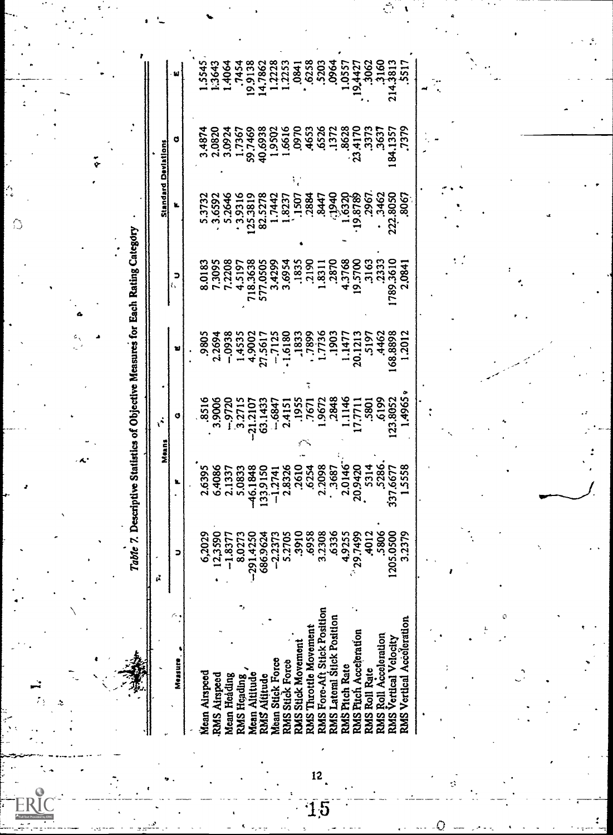A. A. Table 7. Descriptive Statistics of Objective Measures for Each Rating Category rties.

| Measure,                           | ־           |                                                                                                                                                                                                                                                                                             | G                                                                                                                          |                                                                                                                                                                                                                                                                                                                                        | c<br>a |                                                                                                                                                                                                                                   | G |  |
|------------------------------------|-------------|---------------------------------------------------------------------------------------------------------------------------------------------------------------------------------------------------------------------------------------------------------------------------------------------|----------------------------------------------------------------------------------------------------------------------------|----------------------------------------------------------------------------------------------------------------------------------------------------------------------------------------------------------------------------------------------------------------------------------------------------------------------------------------|--------|-----------------------------------------------------------------------------------------------------------------------------------------------------------------------------------------------------------------------------------|---|--|
|                                    |             |                                                                                                                                                                                                                                                                                             |                                                                                                                            |                                                                                                                                                                                                                                                                                                                                        |        |                                                                                                                                                                                                                                   |   |  |
| Mean Airspeed                      | 6,2029      |                                                                                                                                                                                                                                                                                             |                                                                                                                            |                                                                                                                                                                                                                                                                                                                                        |        |                                                                                                                                                                                                                                   |   |  |
| <b>UMS Airspeed</b>                | 12,3590     |                                                                                                                                                                                                                                                                                             |                                                                                                                            |                                                                                                                                                                                                                                                                                                                                        |        |                                                                                                                                                                                                                                   |   |  |
| Mean Heading                       | $-1.8377$   |                                                                                                                                                                                                                                                                                             |                                                                                                                            |                                                                                                                                                                                                                                                                                                                                        |        |                                                                                                                                                                                                                                   |   |  |
| <b>RMS Heading</b>                 | 8.0273      |                                                                                                                                                                                                                                                                                             |                                                                                                                            |                                                                                                                                                                                                                                                                                                                                        |        |                                                                                                                                                                                                                                   |   |  |
| Mean Altitude                      | $-291.4250$ |                                                                                                                                                                                                                                                                                             |                                                                                                                            |                                                                                                                                                                                                                                                                                                                                        |        |                                                                                                                                                                                                                                   |   |  |
| MS Altitude                        | 686.9624    |                                                                                                                                                                                                                                                                                             |                                                                                                                            |                                                                                                                                                                                                                                                                                                                                        |        |                                                                                                                                                                                                                                   |   |  |
| <b>Stick Force</b><br>Mean '       | -2.2373     |                                                                                                                                                                                                                                                                                             |                                                                                                                            |                                                                                                                                                                                                                                                                                                                                        |        |                                                                                                                                                                                                                                   |   |  |
| <b>RMS</b> Stick Force             | 5.2705      |                                                                                                                                                                                                                                                                                             |                                                                                                                            |                                                                                                                                                                                                                                                                                                                                        |        |                                                                                                                                                                                                                                   |   |  |
| <b>UMS Stick Movement</b>          | 3910        |                                                                                                                                                                                                                                                                                             |                                                                                                                            |                                                                                                                                                                                                                                                                                                                                        |        |                                                                                                                                                                                                                                   |   |  |
| RMS Throttle Movement              | 5958        |                                                                                                                                                                                                                                                                                             |                                                                                                                            |                                                                                                                                                                                                                                                                                                                                        |        |                                                                                                                                                                                                                                   |   |  |
| <b>UMS Fore-Aft Stick Position</b> | 3.2308      |                                                                                                                                                                                                                                                                                             |                                                                                                                            |                                                                                                                                                                                                                                                                                                                                        |        |                                                                                                                                                                                                                                   |   |  |
| <b>UMS</b> Lateral Stick Position  | 6336        |                                                                                                                                                                                                                                                                                             |                                                                                                                            |                                                                                                                                                                                                                                                                                                                                        |        |                                                                                                                                                                                                                                   |   |  |
| Pitch Rate<br><b>EXNS</b>          | 4.9255      |                                                                                                                                                                                                                                                                                             |                                                                                                                            |                                                                                                                                                                                                                                                                                                                                        |        |                                                                                                                                                                                                                                   |   |  |
| <b>UMS Pitch Acceleration</b>      | 29.7499     |                                                                                                                                                                                                                                                                                             |                                                                                                                            |                                                                                                                                                                                                                                                                                                                                        |        |                                                                                                                                                                                                                                   |   |  |
| <b>Roll Rate</b><br><b>SWS</b>     | 4012        |                                                                                                                                                                                                                                                                                             |                                                                                                                            |                                                                                                                                                                                                                                                                                                                                        |        |                                                                                                                                                                                                                                   |   |  |
| Roll Acceleration<br><b>ENR3</b>   | 5806        |                                                                                                                                                                                                                                                                                             |                                                                                                                            |                                                                                                                                                                                                                                                                                                                                        |        |                                                                                                                                                                                                                                   |   |  |
| <b>UMS Vertical Velocity</b>       | 205.0500    |                                                                                                                                                                                                                                                                                             |                                                                                                                            |                                                                                                                                                                                                                                                                                                                                        |        |                                                                                                                                                                                                                                   |   |  |
| Vertical Acceleration<br>.<br>3MS  | 3.2379      | $\begin{array}{l} 1.6395 \\ 0.4086 \\ 0.4087 \\ 0.1337 \\ 0.3133 \\ 0.4083 \\ 0.3137 \\ 0.4033 \\ 0.4034 \\ 0.4034 \\ 0.4034 \\ 0.4034 \\ 0.4034 \\ 0.4034 \\ 0.4034 \\ 0.4034 \\ 0.4034 \\ 0.4034 \\ 0.4034 \\ 0.4034 \\ 0.4034 \\ 0.4034 \\ 0.4034 \\ 0.4034 \\ 0.4034 \\ 0.4034 \\ 0.40$ | $.3516\n.39006\n.43712107\n.4437\n.453712107\n.453712107\n.453712107\n.453712107\n.453712108\n.49621\n.4965\n.4965\n.4965$ | $\begin{array}{r} 2805 \\ 2.2694 \\ -1.4533 \\ -1.4533 \\ -1.4533 \\ -1.121 \\ -1.121 \\ -1.123 \\ -1.125 \\ -1.125 \\ -1.125 \\ -1.125 \\ -1.125 \\ -1.125 \\ -1.125 \\ -1.125 \\ -1.125 \\ -1.23 \\ -1.23 \\ -1.23 \\ -1.23 \\ -1.23 \\ -1.23 \\ -1.23 \\ -1.23 \\ -1.23 \\ -1.23 \\ -1.23 \\ -1.23 \\ -1.23 \\ -1.23 \\ -1.23 \\ -$ |        | $373284$<br>$33648$<br>$3538784$<br>$3537374$<br>$353737$<br>$353737$<br>$353737$<br>$353737$<br>$353737$<br>$353737$<br>$353737$<br>$353737$<br>$353737$<br>$353737$<br>$353737$<br>$353737$<br>$353737$<br>$353737$<br>$353737$ |   |  |
|                                    |             |                                                                                                                                                                                                                                                                                             |                                                                                                                            |                                                                                                                                                                                                                                                                                                                                        |        |                                                                                                                                                                                                                                   |   |  |
|                                    |             |                                                                                                                                                                                                                                                                                             |                                                                                                                            |                                                                                                                                                                                                                                                                                                                                        |        |                                                                                                                                                                                                                                   |   |  |
|                                    |             |                                                                                                                                                                                                                                                                                             |                                                                                                                            |                                                                                                                                                                                                                                                                                                                                        |        |                                                                                                                                                                                                                                   |   |  |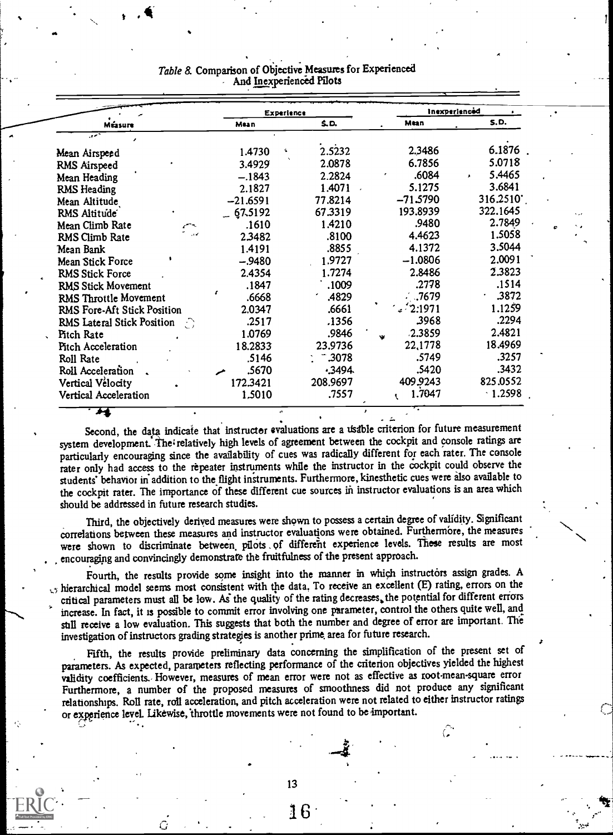|                                 | Experience  |          | Inexperienced |           |
|---------------------------------|-------------|----------|---------------|-----------|
| Méasure                         | Mean        | S.D.     | Mtan          | S.D.      |
| سمو                             |             |          |               |           |
| Mean Airspeed                   | 1.4730<br>4 | 2.5232   | 2.3486        | 6.1876    |
| RMS Airspeed                    | 3.4929      | 2.0878   | 6.7856        | 5.0718    |
| Mean Heading                    | $-.1843$    | 2.2824   | .6084         | 5.4465    |
| RMS Heading                     | 2.1827      | 1.4071   | 5.1275        | 3.6841    |
| Mean Altitude                   | $-21.6591$  | 77.8214  | $-71.5790$    | 316.2510  |
| RMS Altitude                    | $-67.5192$  | 67.3319  | 193.8939      | 322.1645  |
| Mean Climb Rate                 | .1610       | 1.4210   | .9480         | 2.7849    |
| المحدث<br>RMS Climb Rate        | 2.3482      | .8100    | 4.4623        | 1.5058    |
| Mean Bank                       | 1.4191      | .8855    | 4.1372        | 3.5044    |
| Mean Stick Force                | -.9480      | 1.9727   | $-1.0806$     | 2.0091    |
| <b>RMS Stick Force</b>          | 2.4354      | 1.7274   | 2.8486        | 2.3823    |
| RMS Stick Movement              | .1847       | .1009    | .2778         | .1514     |
| RMS Throttle Movement           | t<br>.6668  | .4829    | . .7679       | $-3872$   |
| RMS Fore-Aft Stick Position     | 2.0347      | .6661    | 2.1971        | 1.1259    |
| RMS Lateral Stick Position<br>Ð | .2517       | .1356    | 3968          | .2294     |
| <b>Pitch Rate</b>               | 1.0769      | .9846    | .2.3859<br>w  | 2.4821    |
| Pitch Acceleration              | 18.2833     | 23.9736  | 22,1778       | 18.4969   |
| Roll Rate                       | .5146       | $-3078$  | .5749         | .3257     |
| Roll Acceleration               | .5670       | .3494.   | .5420         | .3432     |
| Vertical Vélocity               | 172.3421    | 208.9697 | 409.9243      | 825.0552  |
| Vertical Acceleration           | 1,5010      | .7557    | 1.7047<br>t   | $-1.2598$ |

### Table 8. Comparison of Objective Measures for Experienced And Inexperienced Pilots

Second, the data indicate that instructor evaluations are a usable criterion for future measurement system development. The relatively high levels of agreement between the cockpit and console ratings are particularly encouraging since the availability of cues was radically different for each rater. The console rater only had access to the repeater instruments while the instructor in the cockpit could observe the students' behavior in addition to the flight instruments. Furthermore, kinesthetic cues were also available to the cockpit rater. The importance of these different cue sources in instructor evaluations is an area which should be addressed in future research studies.

Third, the objectively derived measures were shown to possess a certain degree of validity. Significant correlations between these measures and instructor evaluations were obtained. Furthermore, the measures were shown to discriminate between pilots of different experience levels. These results are most , encouraging and convincingly demonstrate the fruitfulness of the present approach.

Fourth, the results provide some insight into the manner in which instructors assign grades. A  $\zeta$  hierarchical model seems most consistent with the data. To receive an excellent (E) rating, errors on the critical parameters must all be low. As the quality of the rating decreases, the potential for different errors increase. In fact, it is possible to commit error involving one parameter, control the others quite well, and still receive a low evaluation. This suggests that both the number and degree of error are important. The investigation of instructors grading strategies is another prime, area for future research.

Fifth, the results provide preliminary data concerning the simplification of the present set of parameters. As expected, parameters reflecting performance of the criterion objectives yielded the highest validity coefficients. However, measures of mean error were not as effective as root mean square error Furthermore, a number of the proposed measures of smoothness did not produce any significant relationships. Roll rate, roll acceleration, and pitch acceleration were not related to either instructor ratings or experience level. Likewise, throttle movements were not found to be important.

13

 $G$  is a contribution of  $G$  . In the  $G$